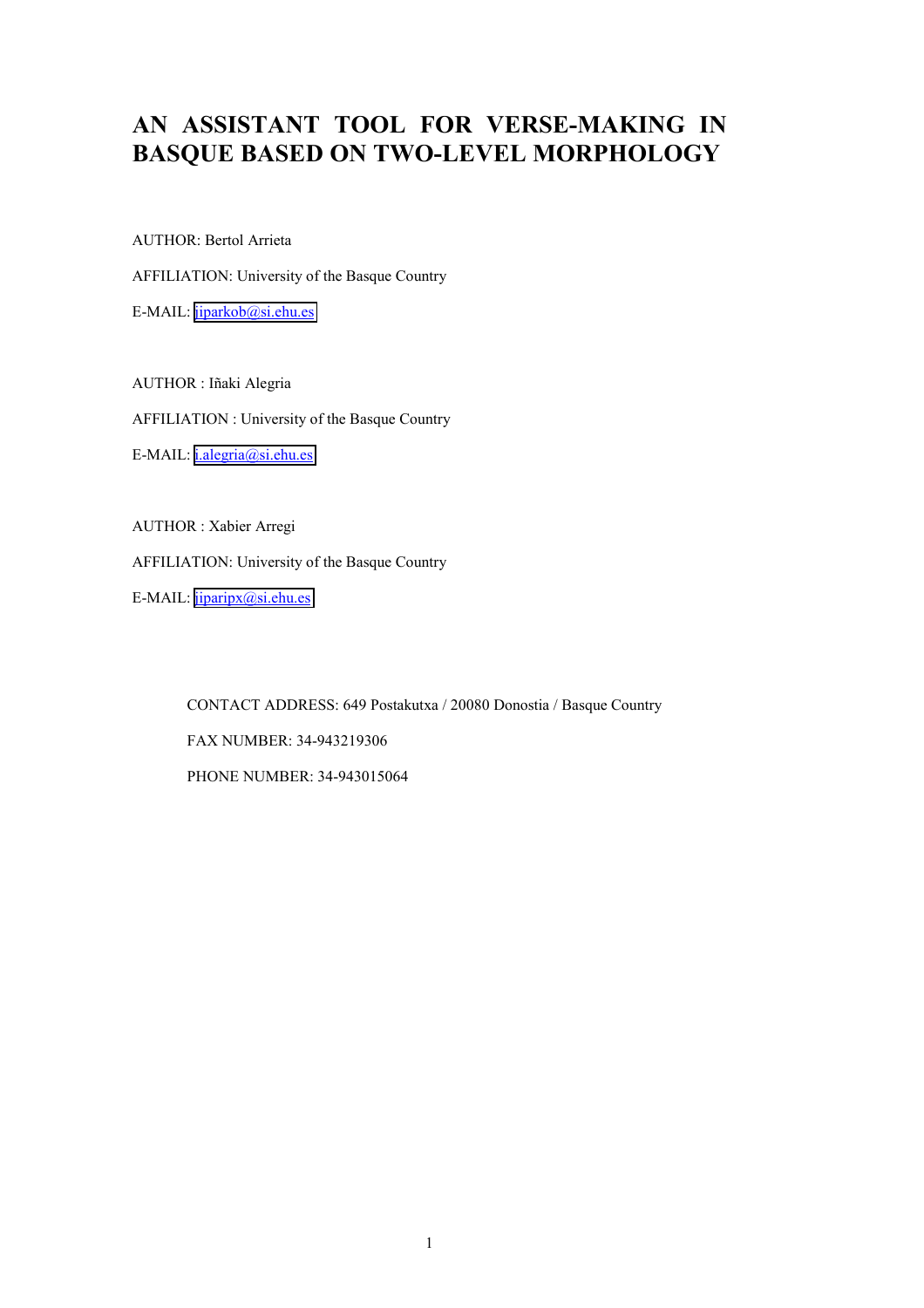# **AN ASSISTANT TOOL FOR VERSE-MAKING IN BASQUE BASED ON TWO-LEVEL MORPHOLOGY**

AUTHOR: Bertol Arrieta

AFFILIATION: University of the Basque Country

E-MAIL: [jiparkob@si.ehu.es](mailto:jiparkob@si.ehu.es)

AUTHOR : Iñaki Alegria AFFILIATION : University of the Basque Country E-MAIL: *i.alegria@si.ehu.es* 

AUTHOR : Xabier Arregi AFFILIATION: University of the Basque Country

E-MAIL: [jiparipx@si.ehu.es](mailto:jiparipx@si.ehu.e)

CONTACT ADDRESS: 649 Postakutxa / 20080 Donostia / Basque Country FAX NUMBER: 34-943219306 PHONE NUMBER: 34-943015064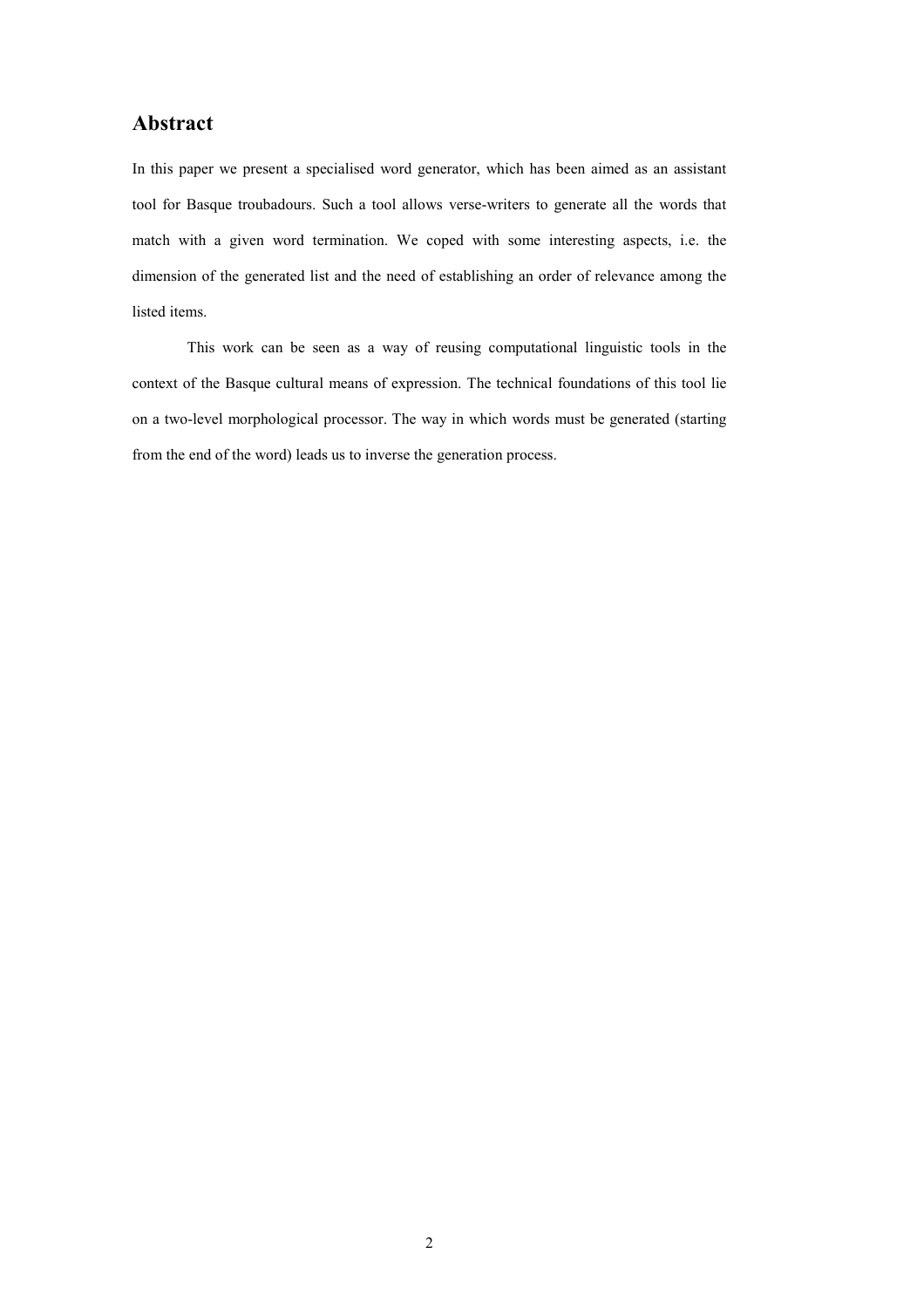# **Abstract**

In this paper we present a specialised word generator, which has been aimed as an assistant tool for Basque troubadours. Such a tool allows verse-writers to generate all the words that match with a given word termination. We coped with some interesting aspects, i.e. the dimension of the generated list and the need of establishing an order of relevance among the listed items.

 This work can be seen as a way of reusing computational linguistic tools in the context of the Basque cultural means of expression. The technical foundations of this tool lie on a two-level morphological processor. The way in which words must be generated (starting from the end of the word) leads us to inverse the generation process.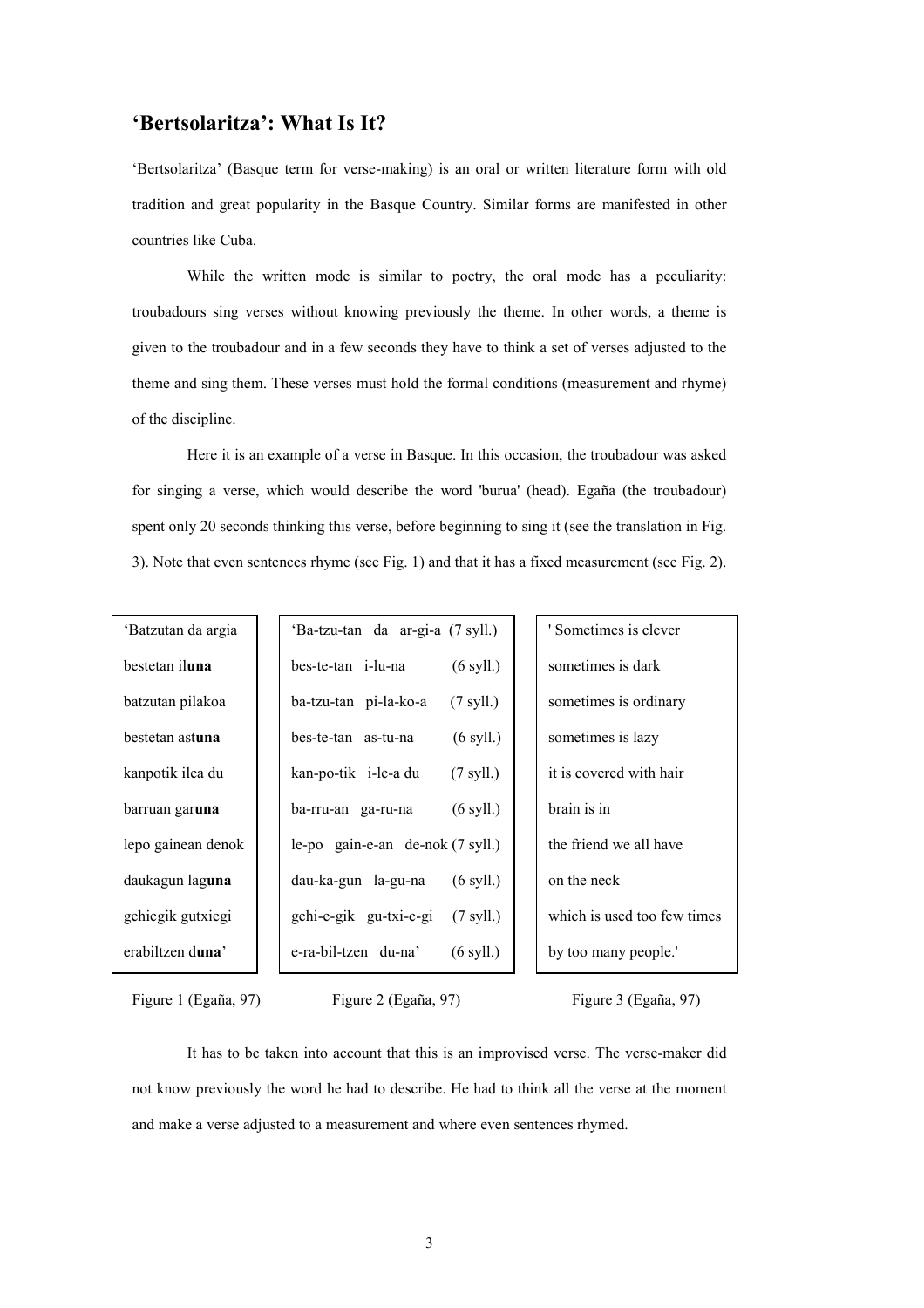## **'Bertsolaritza': What Is It?**

'Bertsolaritza' (Basque term for verse-making) is an oral or written literature form with old tradition and great popularity in the Basque Country. Similar forms are manifested in other countries like Cuba.

 While the written mode is similar to poetry, the oral mode has a peculiarity: troubadours sing verses without knowing previously the theme. In other words, a theme is given to the troubadour and in a few seconds they have to think a set of verses adjusted to the theme and sing them. These verses must hold the formal conditions (measurement and rhyme) of the discipline.

 Here it is an example of a verse in Basque. In this occasion, the troubadour was asked for singing a verse, which would describe the word 'burua' (head). Egaña (the troubadour) spent only 20 seconds thinking this verse, before beginning to sing it (see the translation in Fig. 3). Note that even sentences rhyme (see Fig. 1) and that it has a fixed measurement (see Fig. 2).

| 'Batzutan da argia     | 'Ba-tzu-tan da ar-gi-a (7 syll.)              | ' Sometimes is clever       |
|------------------------|-----------------------------------------------|-----------------------------|
| bestetan iluna         | bes-te-tan i-lu-na<br>$(6 \text{ syll.})$     | sometimes is dark           |
| batzutan pilakoa       | ba-tzu-tan pi-la-ko-a<br>$(7 \text{ syll.})$  | sometimes is ordinary       |
| bestetan astuna        | $(6 \text{ syll.})$<br>bes-te-tan as-tu-na    | sometimes is lazy           |
| kanpotik ilea du       | $(7 \text{ syll.})$<br>kan-po-tik i-le-a du   | it is covered with hair     |
| barruan gar <b>una</b> | $(6 \text{ syll.})$<br>ba-rru-an ga-ru-na     | brain is in                 |
| lepo gainean denok     | le-po gain-e-an de-nok (7 syll.)              | the friend we all have      |
| daukagun laguna        | dau-ka-gun la-gu-na<br>$(6 \text{ syll.})$    | on the neck                 |
| gehiegik gutxiegi      | gehi-e-gik gu-txi-e-gi<br>$(7 \text{ syll.})$ | which is used too few times |
| erabiltzen duna'       | e-ra-bil-tzen du-na'<br>$(6 \text{ syll})$    | by too many people.         |

Figure 1 (Egaña, 97) Figure 2 (Egaña, 97) Figure 3 (Egaña, 97)

 It has to be taken into account that this is an improvised verse. The verse-maker did not know previously the word he had to describe. He had to think all the verse at the moment and make a verse adjusted to a measurement and where even sentences rhymed.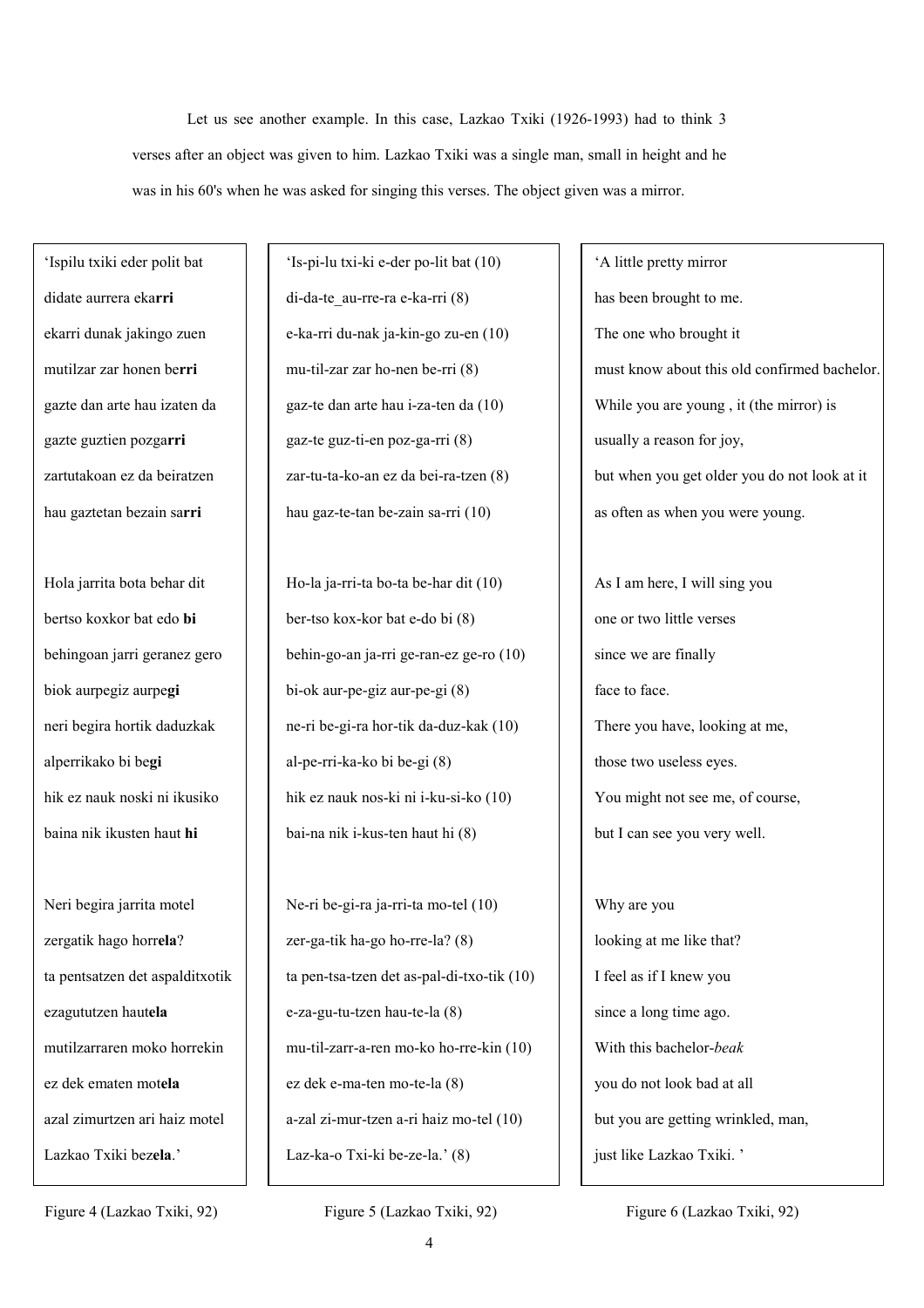Let us see another example. In this case, Lazkao Txiki (1926-1993) had to think 3 verses after an object was given to him. Lazkao Txiki was a single man, small in height and he was in his 60's when he was asked for singing this verses. The object given was a mirror.

'Ispilu txiki eder polit bat didate aurrera eka**rri** ekarri dunak jakingo zuen mutilzar zar honen be**rri** gazte dan arte hau izaten da gazte guztien pozga**rri** zartutakoan ez da beiratzen hau gaztetan bezain sa**rri**

Hola jarrita bota behar dit bertso koxkor bat edo **bi**  behingoan jarri geranez gero biok aurpegiz aurpe**gi** neri begira hortik daduzkak alperrikako bi be**gi** hik ez nauk noski ni ikusiko baina nik ikusten haut **hi** 

Neri begira jarrita motel zergatik hago horr**ela**? ta pentsatzen det aspalditxotik ezagututzen haut**ela** mutilzarraren moko horrekin ez dek ematen mot**ela** azal zimurtzen ari haiz motel Lazkao Txiki bez**ela**.'

'Is-pi-lu txi-ki e-der po-lit bat (10) di-da-te\_au-rre-ra e-ka-rri (8) e-ka-rri du-nak ja-kin-go zu-en (10) mu-til-zar zar ho-nen be-rri (8) gaz-te dan arte hau i-za-ten da (10) gaz-te guz-ti-en poz-ga-rri (8) zar-tu-ta-ko-an ez da bei-ra-tzen (8) hau gaz-te-tan be-zain sa-rri (10)

Ho-la ja-rri-ta bo-ta be-har dit (10) ber-tso kox-kor bat e-do bi (8) behin-go-an ja-rri ge-ran-ez ge-ro (10) bi-ok aur-pe-giz aur-pe-gi (8) ne-ri be-gi-ra hor-tik da-duz-kak (10) al-pe-rri-ka-ko bi be-gi (8) hik ez nauk nos-ki ni i-ku-si-ko (10) bai-na nik i-kus-ten haut hi (8)

Ne-ri be-gi-ra ja-rri-ta mo-tel (10) zer-ga-tik ha-go ho-rre-la? (8) ta pen-tsa-tzen det as-pal-di-txo-tik (10) e-za-gu-tu-tzen hau-te-la (8) mu-til-zarr-a-ren mo-ko ho-rre-kin (10) ez dek e-ma-ten mo-te-la (8) a-zal zi-mur-tzen a-ri haiz mo-tel (10) Laz-ka-o Txi-ki be-ze-la.' (8)

'A little pretty mirror has been brought to me. The one who brought it must know about this old confirmed bachelor. While you are young , it (the mirror) is usually a reason for joy, but when you get older you do not look at it as often as when you were young.

As I am here, I will sing you one or two little verses since we are finally face to face. There you have, looking at me, those two useless eyes. You might not see me, of course, but I can see you very well.

Why are you looking at me like that? I feel as if I knew you since a long time ago. With this bachelor-*beak*  you do not look bad at all but you are getting wrinkled, man, just like Lazkao Txiki. '

Figure 4 (Lazkao Txiki, 92) Figure 5 (Lazkao Txiki, 92) Figure 6 (Lazkao Txiki, 92)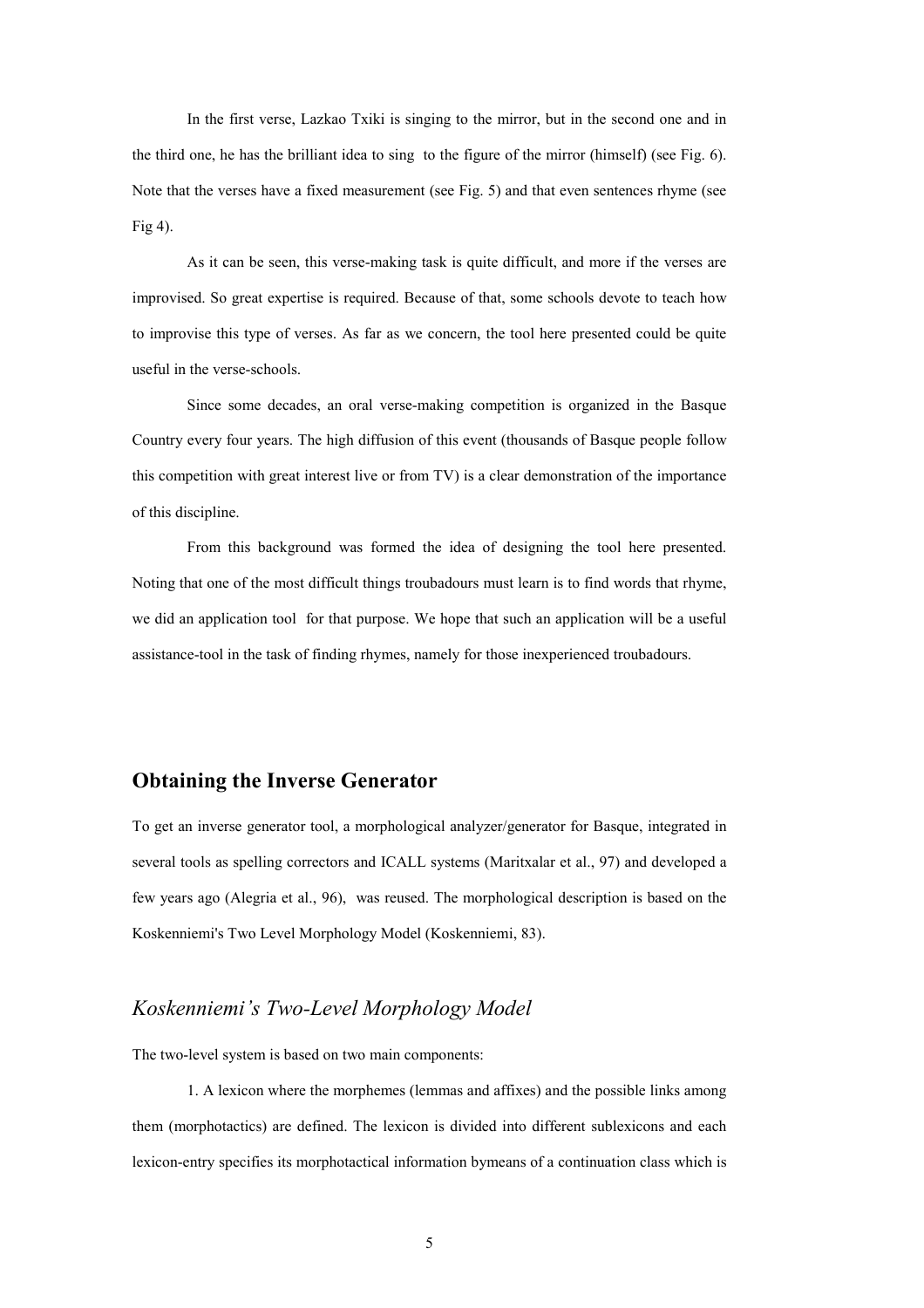In the first verse, Lazkao Txiki is singing to the mirror, but in the second one and in the third one, he has the brilliant idea to sing to the figure of the mirror (himself) (see Fig. 6). Note that the verses have a fixed measurement (see Fig. 5) and that even sentences rhyme (see Fig 4).

As it can be seen, this verse-making task is quite difficult, and more if the verses are improvised. So great expertise is required. Because of that, some schools devote to teach how to improvise this type of verses. As far as we concern, the tool here presented could be quite useful in the verse-schools.

 Since some decades, an oral verse-making competition is organized in the Basque Country every four years. The high diffusion of this event (thousands of Basque people follow this competition with great interest live or from TV) is a clear demonstration of the importance of this discipline.

 From this background was formed the idea of designing the tool here presented. Noting that one of the most difficult things troubadours must learn is to find words that rhyme, we did an application tool for that purpose. We hope that such an application will be a useful assistance-tool in the task of finding rhymes, namely for those inexperienced troubadours.

# **Obtaining the Inverse Generator**

To get an inverse generator tool, a morphological analyzer/generator for Basque, integrated in several tools as spelling correctors and ICALL systems (Maritxalar et al., 97) and developed a few years ago (Alegria et al., 96), was reused. The morphological description is based on the Koskenniemi's Two Level Morphology Model (Koskenniemi, 83).

### *Koskenniemi's Two-Level Morphology Model*

The two-level system is based on two main components:

1. A lexicon where the morphemes (lemmas and affixes) and the possible links among them (morphotactics) are defined. The lexicon is divided into different sublexicons and each lexicon-entry specifies its morphotactical information bymeans of a continuation class which is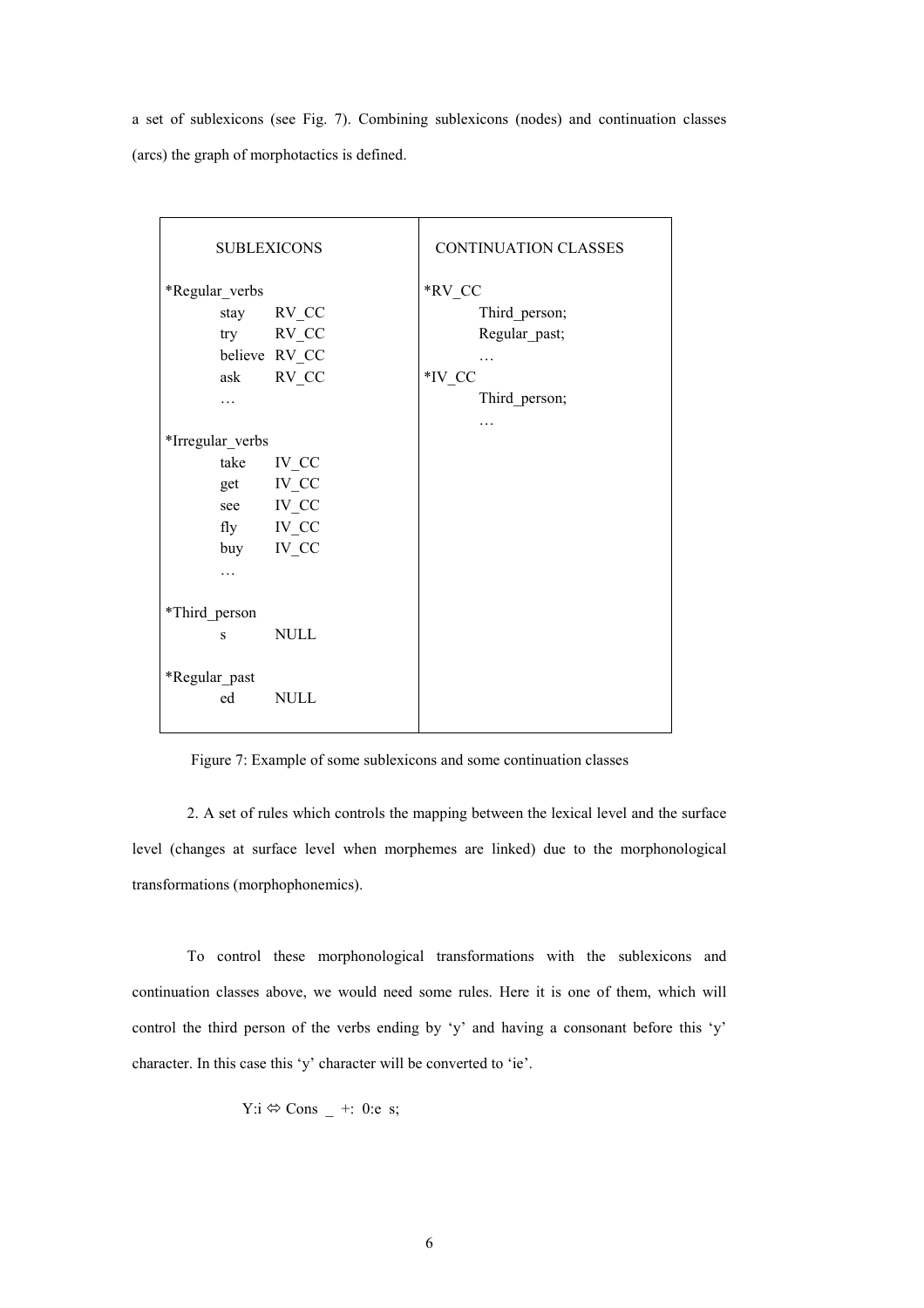a set of sublexicons (see Fig. 7). Combining sublexicons (nodes) and continuation classes (arcs) the graph of morphotactics is defined.

| <b>SUBLEXICONS</b> |               | CONTINUATION CLASSES |
|--------------------|---------------|----------------------|
| *Regular_verbs     |               | *RV CC               |
| stay               | $RV_{C}$      | Third_person;        |
|                    | try RV_CC     | Regular_past;        |
|                    | believe RV_CC | .                    |
| ask                | RV_CC         | *IV CC               |
| .                  |               | Third_person;        |
|                    |               | .                    |
| *Irregular_verbs   |               |                      |
| take               | IV_CC         |                      |
|                    | get IV_CC     |                      |
|                    | see IV_CC     |                      |
|                    | fly IV_CC     |                      |
| buy                | IV CC         |                      |
| .                  |               |                      |
|                    |               |                      |
| *Third_person      |               |                      |
| S                  | <b>NULL</b>   |                      |
|                    |               |                      |
| *Regular_past      |               |                      |
| ed                 | NULL          |                      |
|                    |               |                      |

Figure 7: Example of some sublexicons and some continuation classes

2. A set of rules which controls the mapping between the lexical level and the surface level (changes at surface level when morphemes are linked) due to the morphonological transformations (morphophonemics).

 To control these morphonological transformations with the sublexicons and continuation classes above, we would need some rules. Here it is one of them, which will control the third person of the verbs ending by 'y' and having a consonant before this 'y' character. In this case this 'y' character will be converted to 'ie'.

$$
Y
$$
: $i \Leftrightarrow$  Cons – +: 0:e s;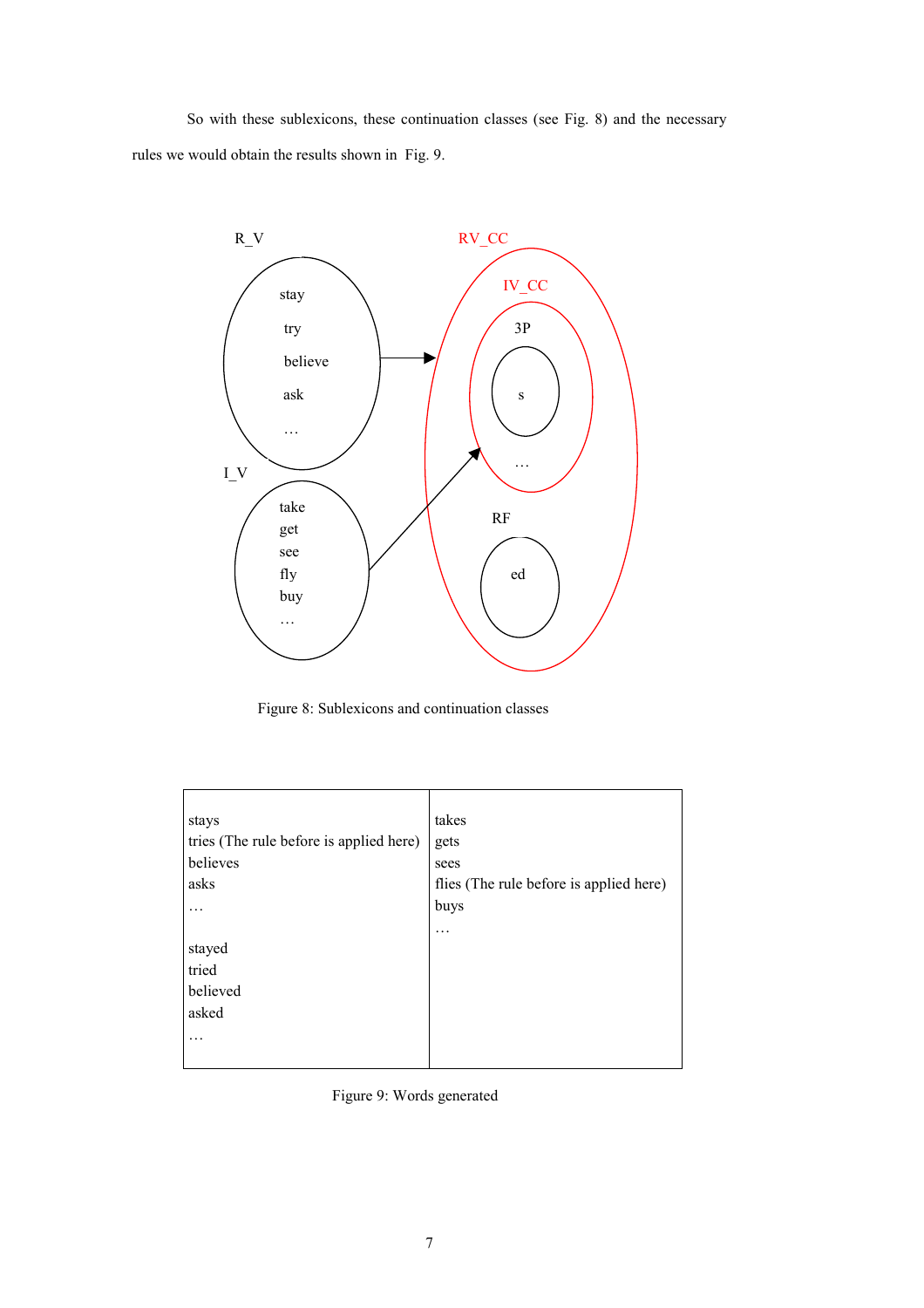So with these sublexicons, these continuation classes (see Fig. 8) and the necessary rules we would obtain the results shown in Fig. 9.



Figure 8: Sublexicons and continuation classes

| stays                                   | takes                                   |
|-----------------------------------------|-----------------------------------------|
| tries (The rule before is applied here) | gets                                    |
| believes                                | sees                                    |
| asks                                    | flies (The rule before is applied here) |
|                                         | buys                                    |
|                                         | .                                       |
| stayed                                  |                                         |
| tried                                   |                                         |
| believed                                |                                         |
| asked                                   |                                         |
| $\ddotsc$                               |                                         |
|                                         |                                         |

Figure 9: Words generated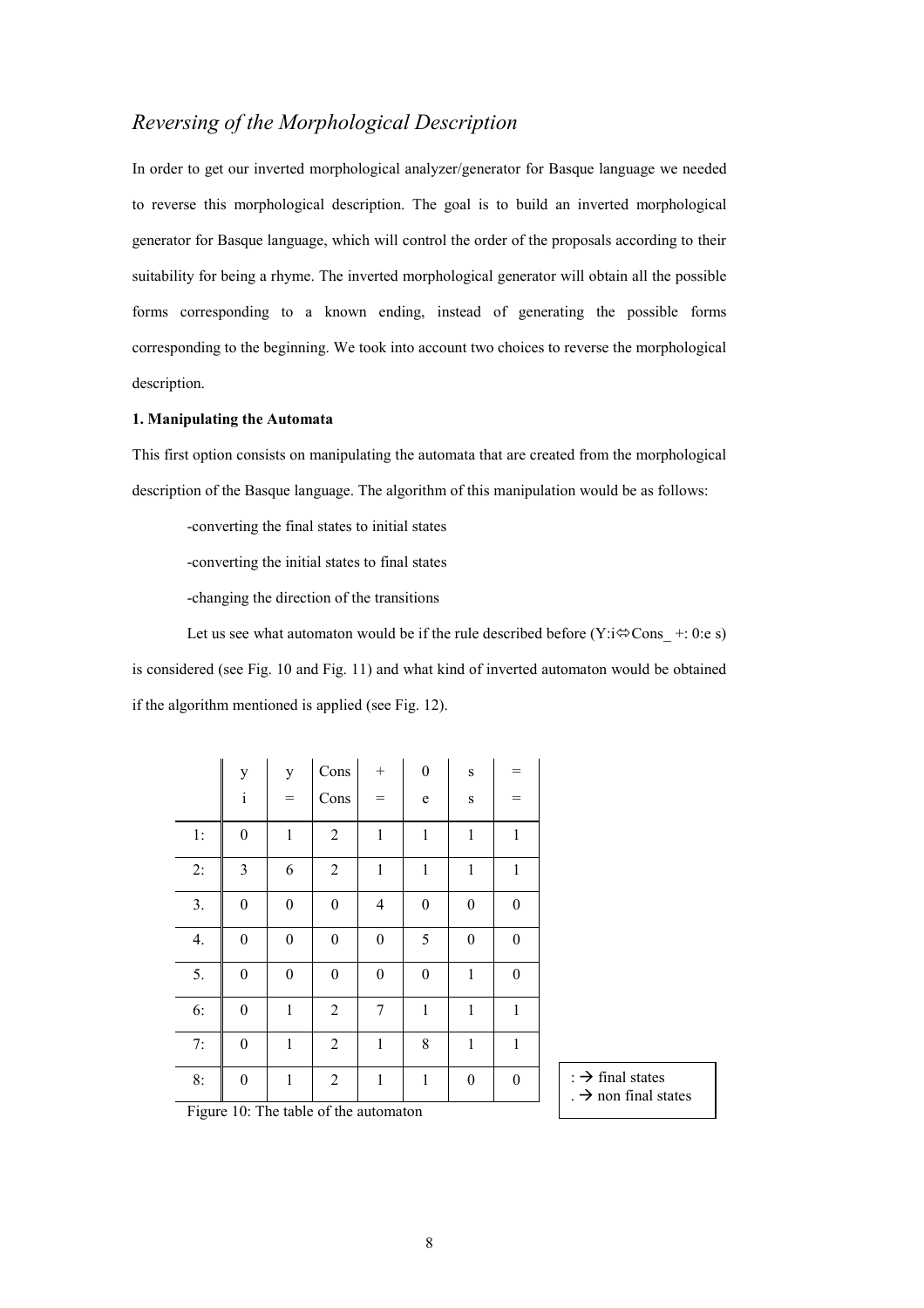# *Reversing of the Morphological Description*

In order to get our inverted morphological analyzer/generator for Basque language we needed to reverse this morphological description. The goal is to build an inverted morphological generator for Basque language, which will control the order of the proposals according to their suitability for being a rhyme. The inverted morphological generator will obtain all the possible forms corresponding to a known ending, instead of generating the possible forms corresponding to the beginning. We took into account two choices to reverse the morphological description.

#### **1. Manipulating the Automata**

This first option consists on manipulating the automata that are created from the morphological description of the Basque language. The algorithm of this manipulation would be as follows:

-converting the final states to initial states

-converting the initial states to final states

-changing the direction of the transitions

Let us see what automaton would be if the rule described before  $(Y:\mathbf{i}\otimes\mathbf{Cons} +: 0:\mathbf{e} \cdot \mathbf{s})$ is considered (see Fig. 10 and Fig. 11) and what kind of inverted automaton would be obtained if the algorithm mentioned is applied (see Fig. 12).

|                                                                                                         | y<br>$\rm i$     | y<br>$=$         | Cons<br>Cons     | $\! + \!\!\!\!$<br>$=$   | $\boldsymbol{0}$<br>$\mathbf e$ | $\,$ S<br>$\,$ S | =                |
|---------------------------------------------------------------------------------------------------------|------------------|------------------|------------------|--------------------------|---------------------------------|------------------|------------------|
| $1:$                                                                                                    | $\boldsymbol{0}$ | $\mathbf{1}$     | $\overline{2}$   | $\mathbf 1$              | $\,1$                           | $\mathbf{1}$     | $\mathbf{1}$     |
| 2:                                                                                                      | $\mathfrak{Z}$   | 6                | $\overline{2}$   | $\mathbf 1$              | $\,1$                           | $\mathbf{1}$     | $\mathbf{1}$     |
| 3.                                                                                                      | $\boldsymbol{0}$ | $\boldsymbol{0}$ | $\boldsymbol{0}$ | $\overline{\mathcal{L}}$ | $\boldsymbol{0}$                | $\boldsymbol{0}$ | $\boldsymbol{0}$ |
| 4.                                                                                                      | $\boldsymbol{0}$ | $\boldsymbol{0}$ | $\boldsymbol{0}$ | $\boldsymbol{0}$         | 5                               | $\boldsymbol{0}$ | $\boldsymbol{0}$ |
| 5.                                                                                                      | $\boldsymbol{0}$ | $\boldsymbol{0}$ | $\boldsymbol{0}$ | $\boldsymbol{0}$         | $\boldsymbol{0}$                | $\mathbf{1}$     | $\boldsymbol{0}$ |
| 6:                                                                                                      | $\boldsymbol{0}$ | $\mathbf{1}$     | $\overline{2}$   | $\boldsymbol{7}$         | $\mathbf 1$                     | $\mathbf{1}$     | $\mathbf{1}$     |
| 7:                                                                                                      | $\boldsymbol{0}$ | $\mathbf{1}$     | $\overline{2}$   | $\,1$                    | 8                               | $\mathbf{1}$     | $\mathbf{1}$     |
| 8:                                                                                                      | $\boldsymbol{0}$ | $\mathbf{1}$     | $\overline{2}$   | $\mathbf{1}$             | $\,1$                           | $\boldsymbol{0}$ | $\boldsymbol{0}$ |
| $\mathbf{r}$ .<br>T <sub>1</sub><br>$C_{41}$<br>$1^{\prime}$<br>$\sqrt{11}$<br>$\sim$<br>$\overline{a}$ |                  |                  |                  |                          |                                 |                  |                  |

 $\Rightarrow$  final states

 $\rightarrow$  non final states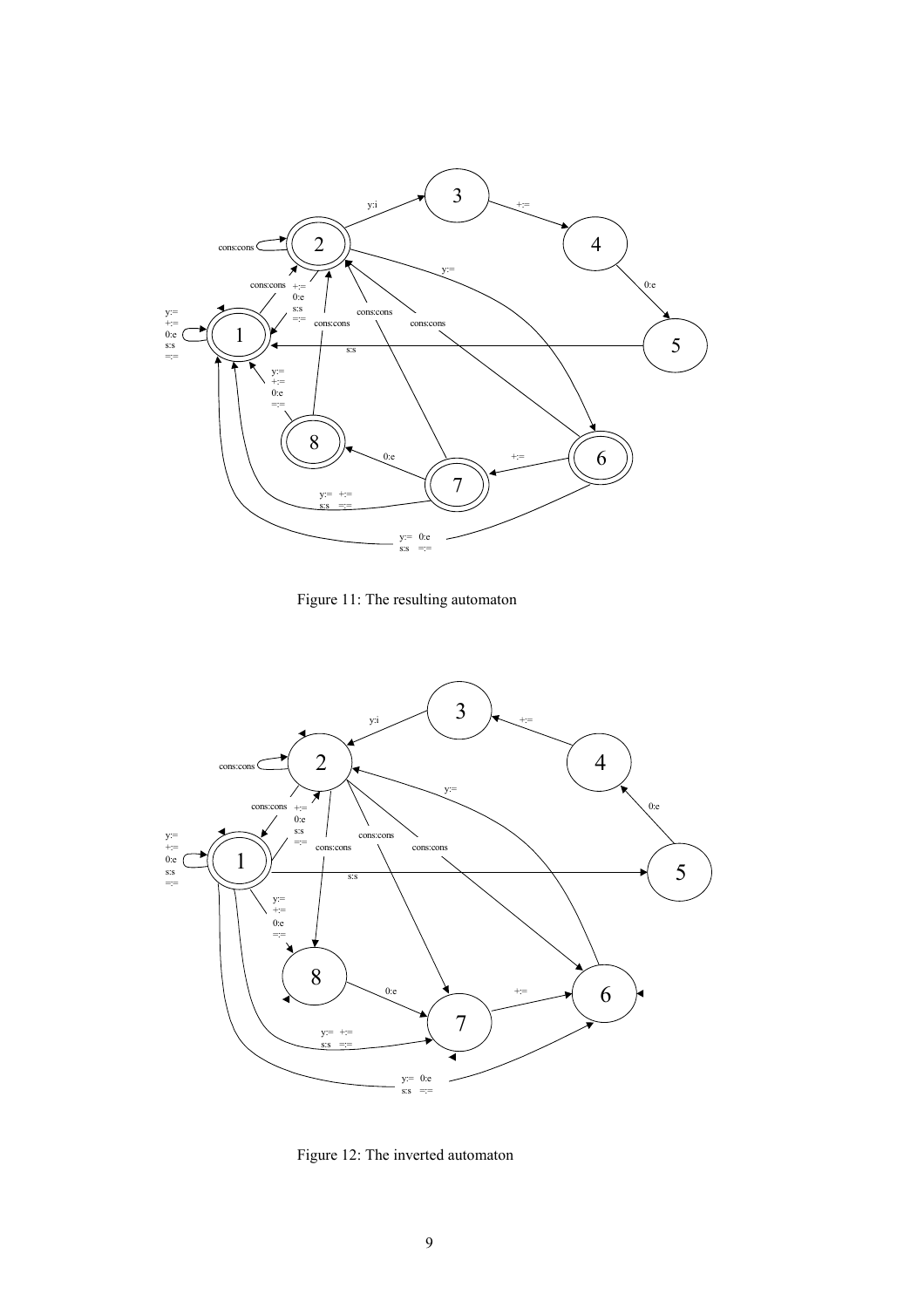

Figure 11: The resulting automaton



Figure 12: The inverted automaton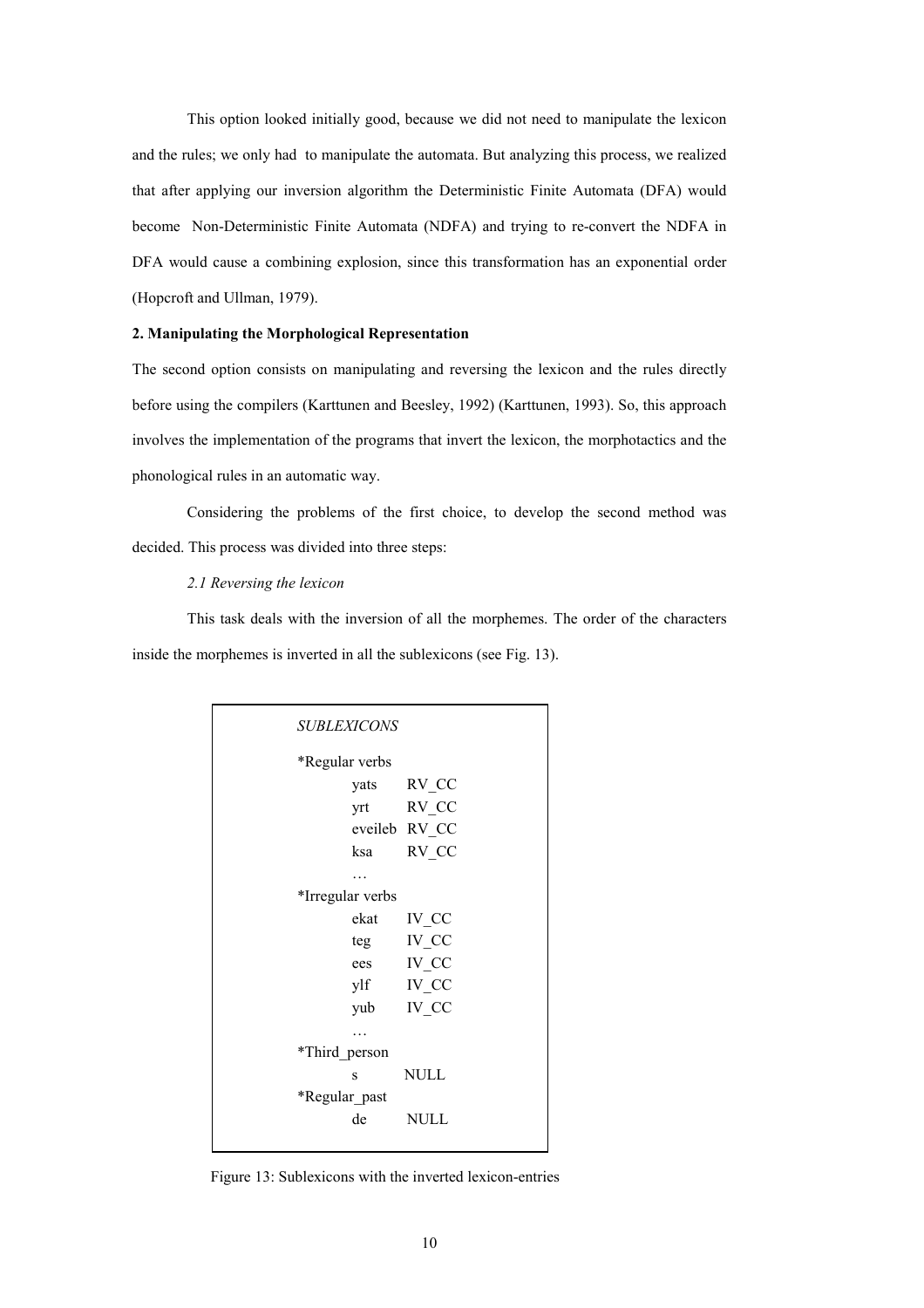This option looked initially good, because we did not need to manipulate the lexicon and the rules; we only had to manipulate the automata. But analyzing this process, we realized that after applying our inversion algorithm the Deterministic Finite Automata (DFA) would become Non-Deterministic Finite Automata (NDFA) and trying to re-convert the NDFA in DFA would cause a combining explosion, since this transformation has an exponential order (Hopcroft and Ullman, 1979).

#### **2. Manipulating the Morphological Representation**

The second option consists on manipulating and reversing the lexicon and the rules directly before using the compilers (Karttunen and Beesley, 1992) (Karttunen, 1993). So, this approach involves the implementation of the programs that invert the lexicon, the morphotactics and the phonological rules in an automatic way.

 Considering the problems of the first choice, to develop the second method was decided. This process was divided into three steps:

#### *2.1 Reversing the lexicon*

This task deals with the inversion of all the morphemes. The order of the characters inside the morphemes is inverted in all the sublexicons (see Fig. 13).

| <b>SUBLEXICONS</b> |  |
|--------------------|--|
| *Regular verbs     |  |
| yats RV_CC         |  |
| yrt RV CC          |  |
| eveileb RV CC      |  |
| ksa RV_CC          |  |
|                    |  |
| *Irregular verbs   |  |
| ekat IV_CC         |  |
| teg IV_CC          |  |
| ees IV CC          |  |
| ylf IV CC          |  |
| yub IV CC          |  |
|                    |  |
| *Third person      |  |
| <b>NULL</b><br>S   |  |
| *Regular past      |  |
| de NULL            |  |
|                    |  |

Figure 13: Sublexicons with the inverted lexicon-entries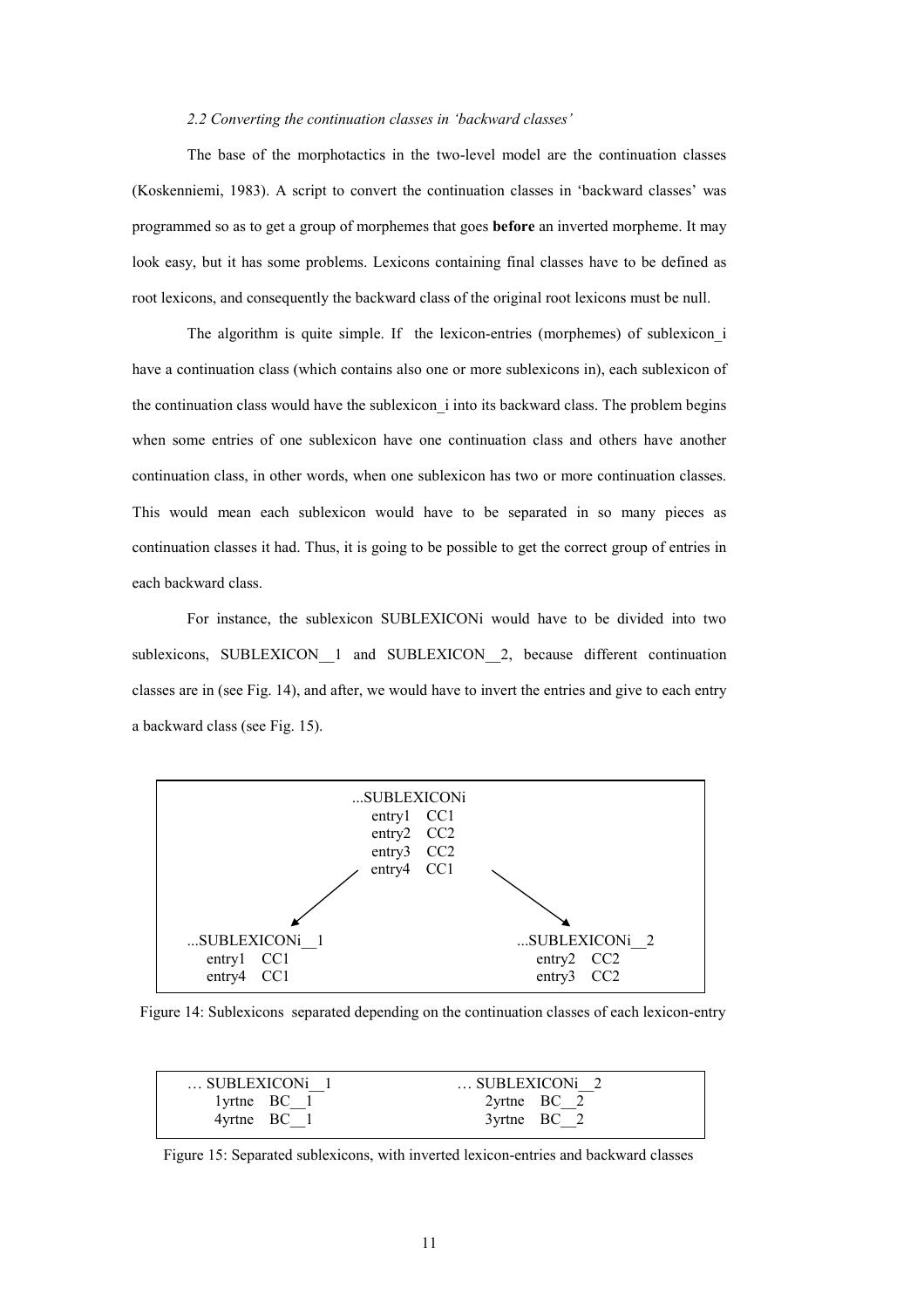#### *2.2 Converting the continuation classes in 'backward classes'*

 The base of the morphotactics in the two-level model are the continuation classes (Koskenniemi, 1983). A script to convert the continuation classes in 'backward classes' was programmed so as to get a group of morphemes that goes **before** an inverted morpheme. It may look easy, but it has some problems. Lexicons containing final classes have to be defined as root lexicons, and consequently the backward class of the original root lexicons must be null.

The algorithm is quite simple. If the lexicon-entries (morphemes) of sublexicon i have a continuation class (which contains also one or more sublexicons in), each sublexicon of the continuation class would have the sublexicon\_i into its backward class. The problem begins when some entries of one sublexicon have one continuation class and others have another continuation class, in other words, when one sublexicon has two or more continuation classes. This would mean each sublexicon would have to be separated in so many pieces as continuation classes it had. Thus, it is going to be possible to get the correct group of entries in each backward class.

 For instance, the sublexicon SUBLEXICONi would have to be divided into two sublexicons, SUBLEXICON 1 and SUBLEXICON 2, because different continuation classes are in (see Fig. 14), and after, we would have to invert the entries and give to each entry a backward class (see Fig. 15).



Figure 14: Sublexicons separated depending on the continuation classes of each lexicon-entry

| SUBLEXICON <sub>i</sub> 1 | SUBLEXICON <sub>i</sub> 2 |
|---------------------------|---------------------------|
| $1$ yrtne $BC_1$          | $2$ yrtne BC 2            |
| $4$ yrtne BC 1            | $3$ yrtne BC 2            |

Figure 15: Separated sublexicons, with inverted lexicon-entries and backward classes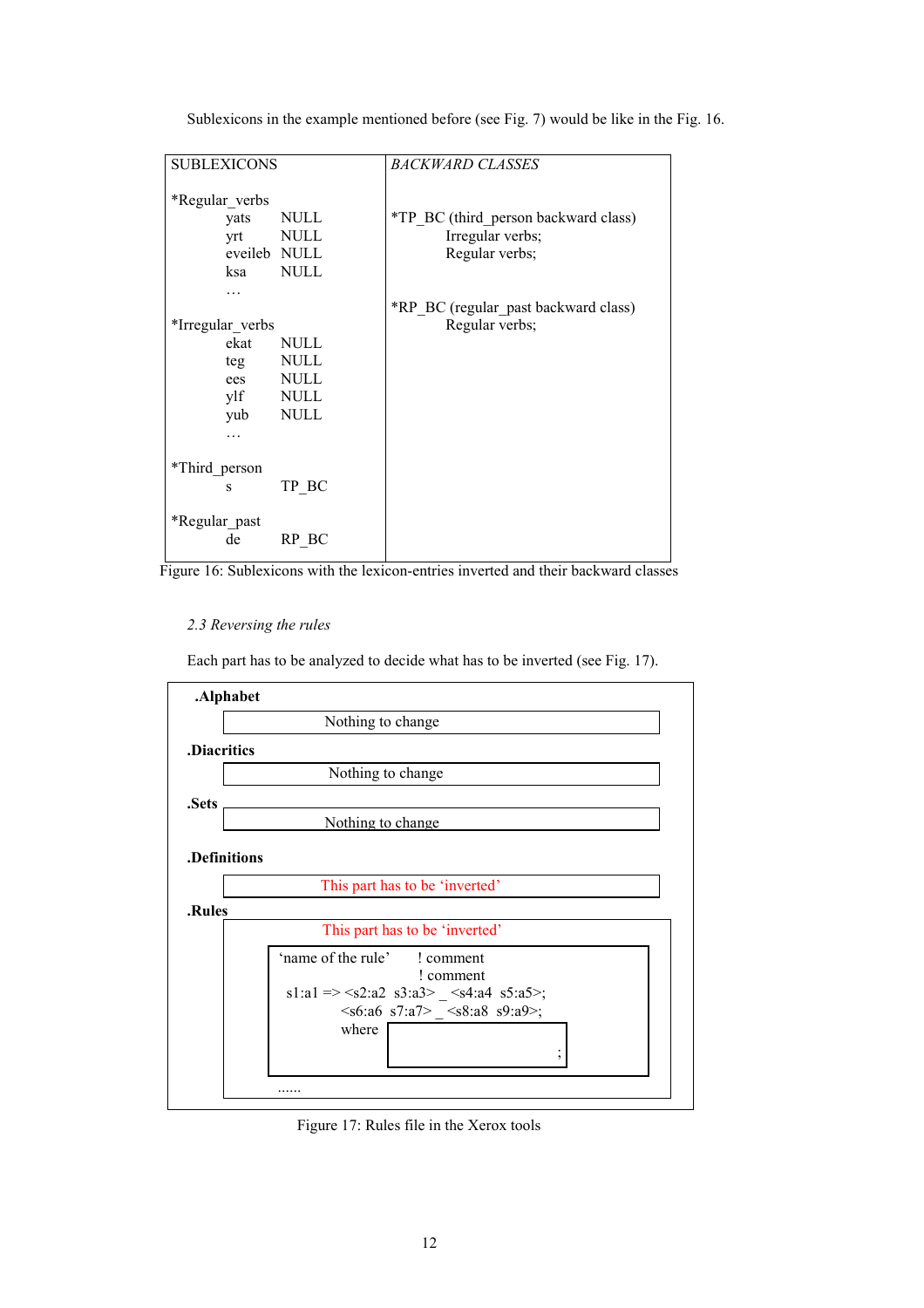| <b>SUBLEXICONS</b>                          |                      | BACKWARD CLASSES                     |
|---------------------------------------------|----------------------|--------------------------------------|
| *Regular verbs                              |                      |                                      |
| yats                                        | <b>NULL</b>          | *TP BC (third_person backward class) |
| yrt                                         | <b>NULL</b>          | Irregular verbs;                     |
| eveileb NULL                                |                      | Regular verbs;                       |
| ksa                                         | <b>NULL</b>          |                                      |
|                                             |                      |                                      |
|                                             |                      | *RP BC (regular past backward class) |
| *Irregular verbs                            |                      | Regular verbs;                       |
|                                             |                      |                                      |
| teg                                         | <b>NULL</b>          |                                      |
| ees                                         | <b>NULL</b>          |                                      |
| ylf                                         | <b>NULL</b>          |                                      |
| yub                                         | <b>NULL</b>          |                                      |
|                                             |                      |                                      |
|                                             |                      |                                      |
|                                             |                      |                                      |
|                                             |                      |                                      |
|                                             |                      |                                      |
| de                                          | RP BC                |                                      |
| ekat<br>*Third person<br>S<br>*Regular_past | <b>NULL</b><br>TP BC |                                      |

Sublexicons in the example mentioned before (see Fig. 7) would be like in the Fig. 16.

Figure 16: Sublexicons with the lexicon-entries inverted and their backward classes

#### *2.3 Reversing the rules*

Each part has to be analyzed to decide what has to be inverted (see Fig. 17).



Figure 17: Rules file in the Xerox tools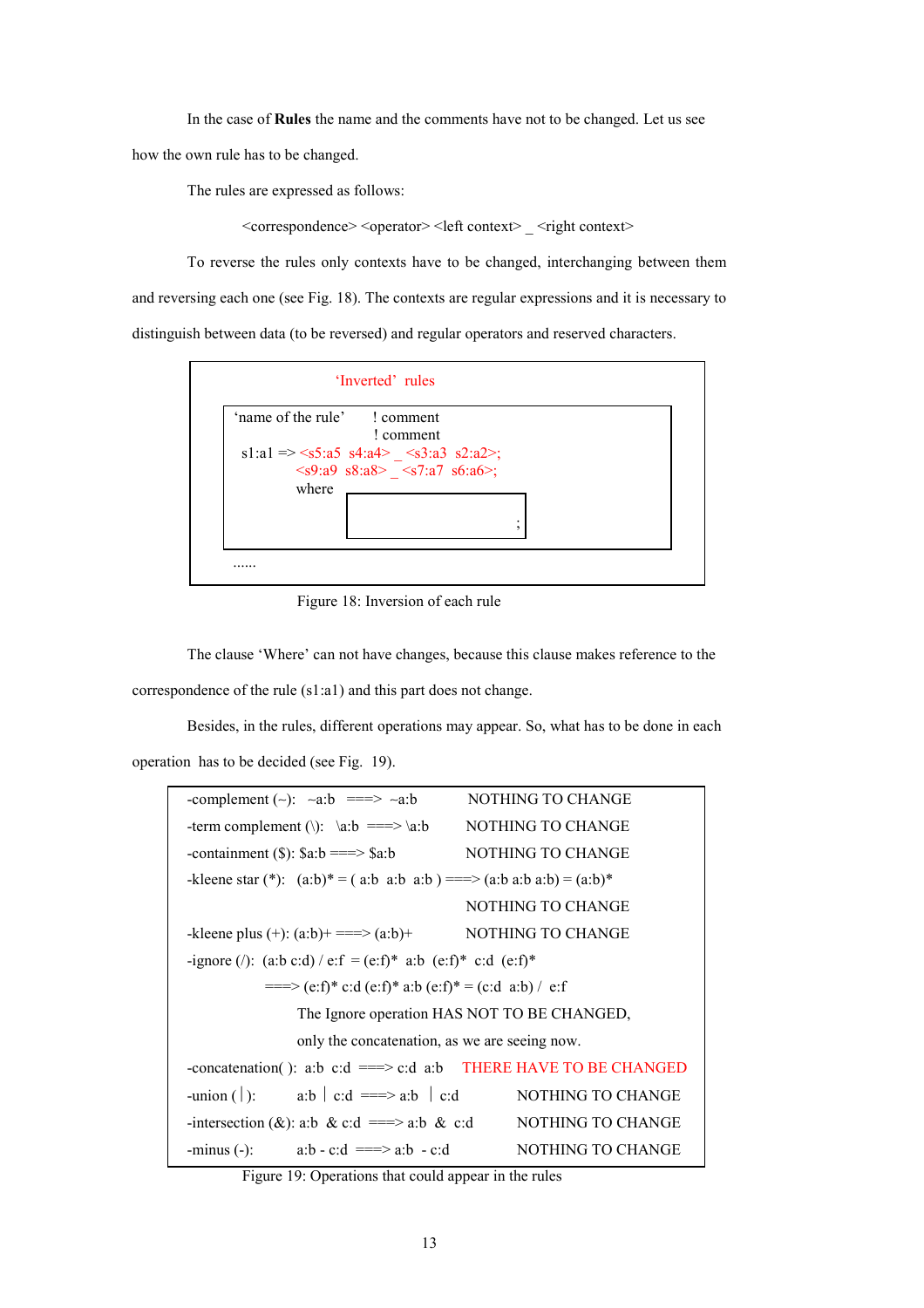In the case of **Rules** the name and the comments have not to be changed. Let us see

how the own rule has to be changed.

The rules are expressed as follows:

 $\leq$ correspondence $\geq$   $\leq$ operator $\geq$   $\leq$  left context $\geq$   $\leq$  right context $\geq$ 

 To reverse the rules only contexts have to be changed, interchanging between them and reversing each one (see Fig. 18). The contexts are regular expressions and it is necessary to distinguish between data (to be reversed) and regular operators and reserved characters.



Figure 18: Inversion of each rule

 The clause 'Where' can not have changes, because this clause makes reference to the correspondence of the rule (s1:a1) and this part does not change.

 Besides, in the rules, different operations may appear. So, what has to be done in each operation has to be decided (see Fig. 19).

| NOTHING TO CHANGE<br>-complement $(\sim)$ : $\sim a:b$ ===> $\sim a:b$        |  |  |  |  |
|-------------------------------------------------------------------------------|--|--|--|--|
| NOTHING TO CHANGE<br>-term complement (\): $\{a:b \} = \Longrightarrow \{a:b$ |  |  |  |  |
| -containment (\$): $a:b == > a:b$ NOTHING TO CHANGE                           |  |  |  |  |
| -kleene star (*): $(a:b)^* = (a:b \ a:b \ a:b) = 0$ = $(a:b \ a:b) = (a:b)^*$ |  |  |  |  |
| NOTHING TO CHANGE                                                             |  |  |  |  |
| -kleene plus $(+)$ : $(a:b)$ = = = > $(a:b)$ + NOTHING TO CHANGE              |  |  |  |  |
| -ignore (/): (a:b c:d) / e:f = (e:f)* a:b (e:f)* c:d (e:f)*                   |  |  |  |  |
| $===$ (e:f)* c:d (e:f)* a:b (e:f)* = (c:d a:b) / e:f                          |  |  |  |  |
| The Ignore operation HAS NOT TO BE CHANGED,                                   |  |  |  |  |
| only the concatenation, as we are seeing now.                                 |  |  |  |  |
| -concatenation(): a:b c:d ===> c:d a:b THERE HAVE TO BE CHANGED               |  |  |  |  |
| -union (): a:b $ $ c:d ==> a:b $ $ c:d NOTHING TO CHANGE                      |  |  |  |  |
| -intersection (&): a:b & c:d ===> a:b & c:d NOTHING TO CHANGE                 |  |  |  |  |
| NOTHING TO CHANGE                                                             |  |  |  |  |
| -minus (-): $a:b - c:d == > a:b - c:d$                                        |  |  |  |  |

Figure 19: Operations that could appear in the rules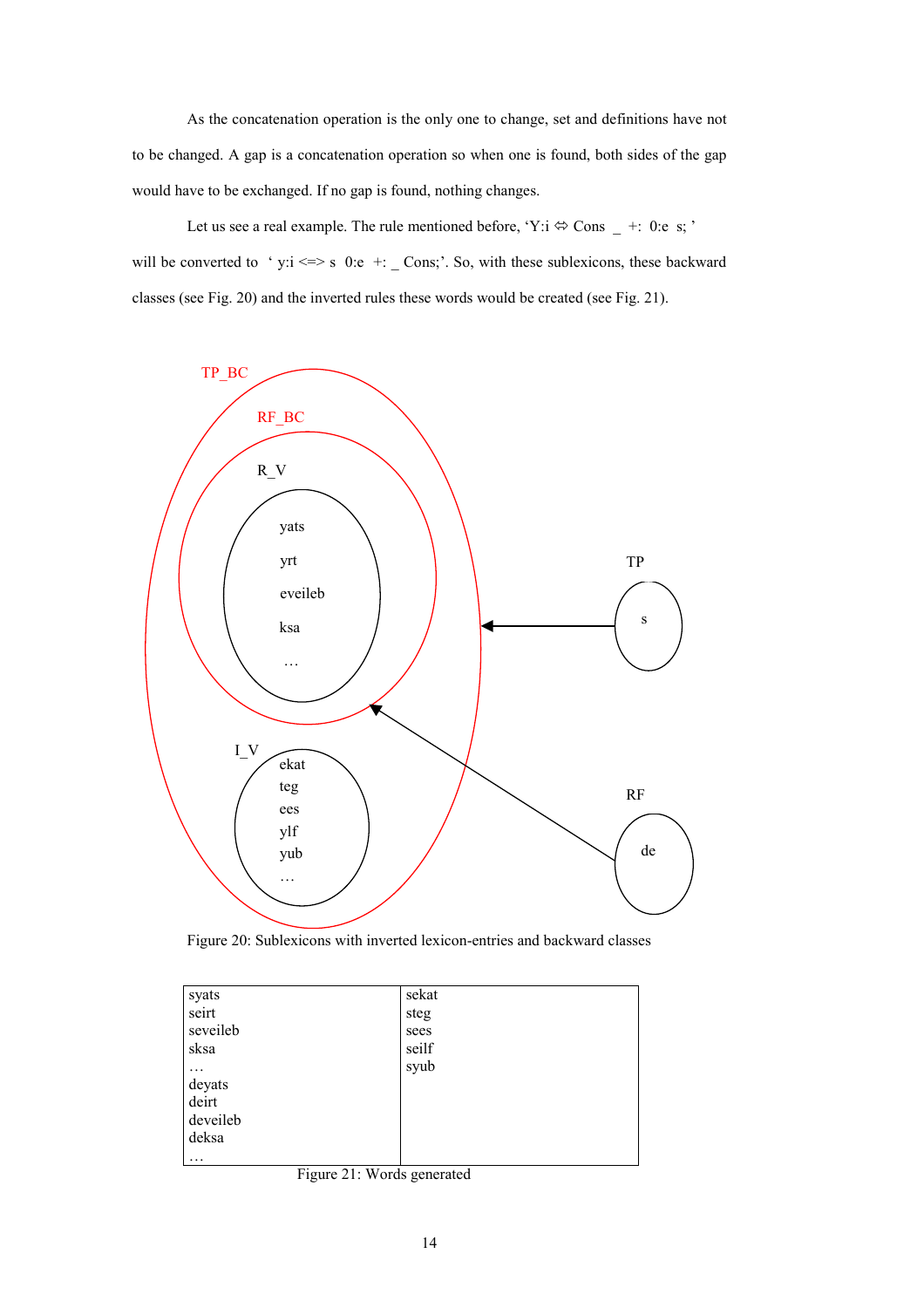As the concatenation operation is the only one to change, set and definitions have not to be changed. A gap is a concatenation operation so when one is found, both sides of the gap would have to be exchanged. If no gap is found, nothing changes.

Let us see a real example. The rule mentioned before, 'Y:i  $\Leftrightarrow$  Cons  $-$  +: 0:e s; ' will be converted to 'y: $i \le s$  0:e +: \_ Cons;'. So, with these sublexicons, these backward classes (see Fig. 20) and the inverted rules these words would be created (see Fig. 21).



Figure 20: Sublexicons with inverted lexicon-entries and backward classes

| syats    | sekat |  |
|----------|-------|--|
| seirt    | steg  |  |
| seveileb | sees  |  |
| sksa     | seilf |  |
| .        | syub  |  |
| deyats   |       |  |
| deirt    |       |  |
| deveileb |       |  |
| deksa    |       |  |
| $\cdots$ |       |  |

Figure 21: Words generated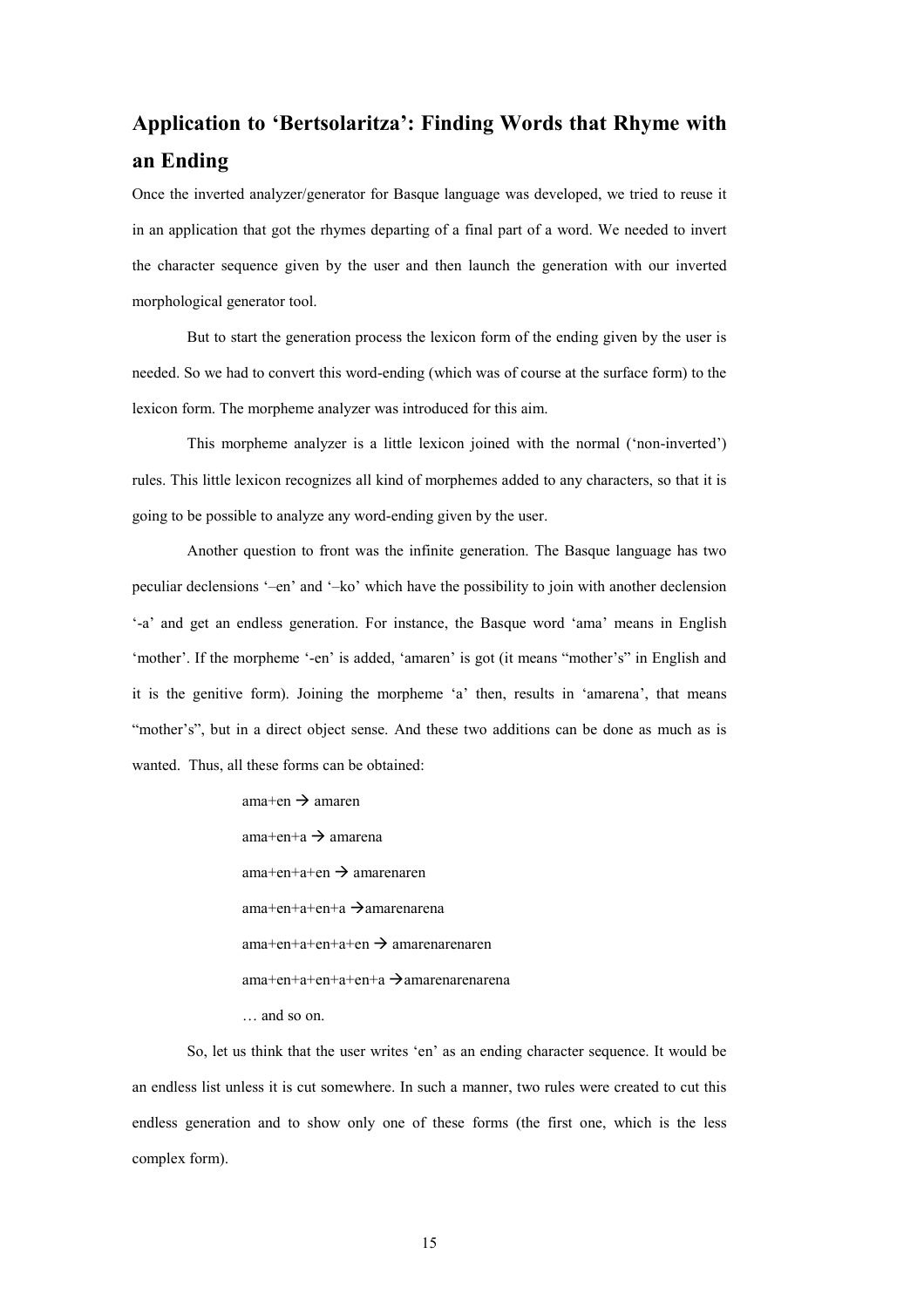# **Application to 'Bertsolaritza': Finding Words that Rhyme with an Ending**

Once the inverted analyzer/generator for Basque language was developed, we tried to reuse it in an application that got the rhymes departing of a final part of a word. We needed to invert the character sequence given by the user and then launch the generation with our inverted morphological generator tool.

But to start the generation process the lexicon form of the ending given by the user is needed. So we had to convert this word-ending (which was of course at the surface form) to the lexicon form. The morpheme analyzer was introduced for this aim.

This morpheme analyzer is a little lexicon joined with the normal ('non-inverted') rules. This little lexicon recognizes all kind of morphemes added to any characters, so that it is going to be possible to analyze any word-ending given by the user.

Another question to front was the infinite generation. The Basque language has two peculiar declensions '–en' and '–ko' which have the possibility to join with another declension '-a' and get an endless generation. For instance, the Basque word 'ama' means in English 'mother'. If the morpheme '-en' is added, 'amaren' is got (it means "mother's" in English and it is the genitive form). Joining the morpheme 'a' then, results in 'amarena', that means "mother's", but in a direct object sense. And these two additions can be done as much as is wanted. Thus, all these forms can be obtained:

 $am$ ama $+$ en  $\rightarrow$  amaren  $am$ ama $+n+a \rightarrow am$ amarena  $am$ ama+en+a+en  $\rightarrow$  amarenaren  $am$ a+en+a+en+a  $\rightarrow$ amarenarena  $am$ a+en+a+en+a+en  $\rightarrow$  amarenarenaren  $am$ a+en+a+en+a+en+a  $\rightarrow$ amarenarenarena … and so on.

So, let us think that the user writes 'en' as an ending character sequence. It would be an endless list unless it is cut somewhere. In such a manner, two rules were created to cut this endless generation and to show only one of these forms (the first one, which is the less complex form).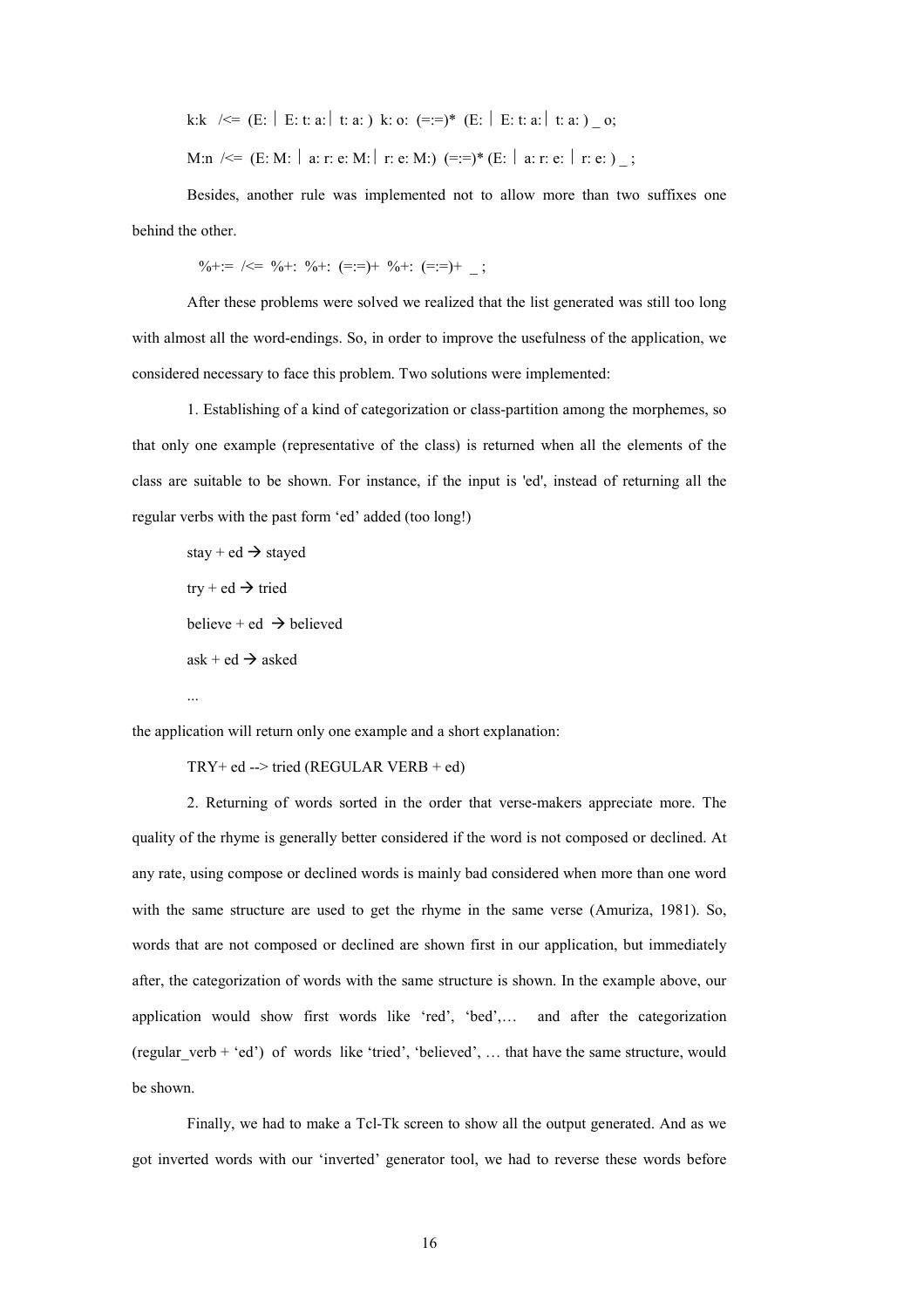k:k / $\leq$  (E: | E: t: a: | t: a: ) k: o: (=:=)\* (E: | E: t: a: | t: a: ) \_ o;

M:n / $\leq$  (E: M: | a: r: e: M: | r: e: M:) (=:=)\* (E: | a: r: e: | r: e: ) ;

 Besides, another rule was implemented not to allow more than two suffixes one behind the other.

 $\% +:= \ \mid \leq \ \% +: \ \% +: \ \ (=:=) + \ \% +: \ \ (=:=) + \ \ :$ 

After these problems were solved we realized that the list generated was still too long with almost all the word-endings. So, in order to improve the usefulness of the application, we considered necessary to face this problem. Two solutions were implemented:

 1. Establishing of a kind of categorization or class-partition among the morphemes, so that only one example (representative of the class) is returned when all the elements of the class are suitable to be shown. For instance, if the input is 'ed', instead of returning all the regular verbs with the past form 'ed' added (too long!)

stay + ed  $\rightarrow$  stayed  $try + ed \rightarrow tried$ believe + ed  $\rightarrow$  believed  $ask + ed \rightarrow asked$ ...

the application will return only one example and a short explanation:

 $TRY+$  ed --> tried (REGULAR VERB + ed)

 2. Returning of words sorted in the order that verse-makers appreciate more. The quality of the rhyme is generally better considered if the word is not composed or declined. At any rate, using compose or declined words is mainly bad considered when more than one word with the same structure are used to get the rhyme in the same verse (Amuriza, 1981). So, words that are not composed or declined are shown first in our application, but immediately after, the categorization of words with the same structure is shown. In the example above, our application would show first words like 'red', 'bed',… and after the categorization (regular\_verb + 'ed') of words like 'tried', 'believed', … that have the same structure, would be shown.

Finally, we had to make a Tcl-Tk screen to show all the output generated. And as we got inverted words with our 'inverted' generator tool, we had to reverse these words before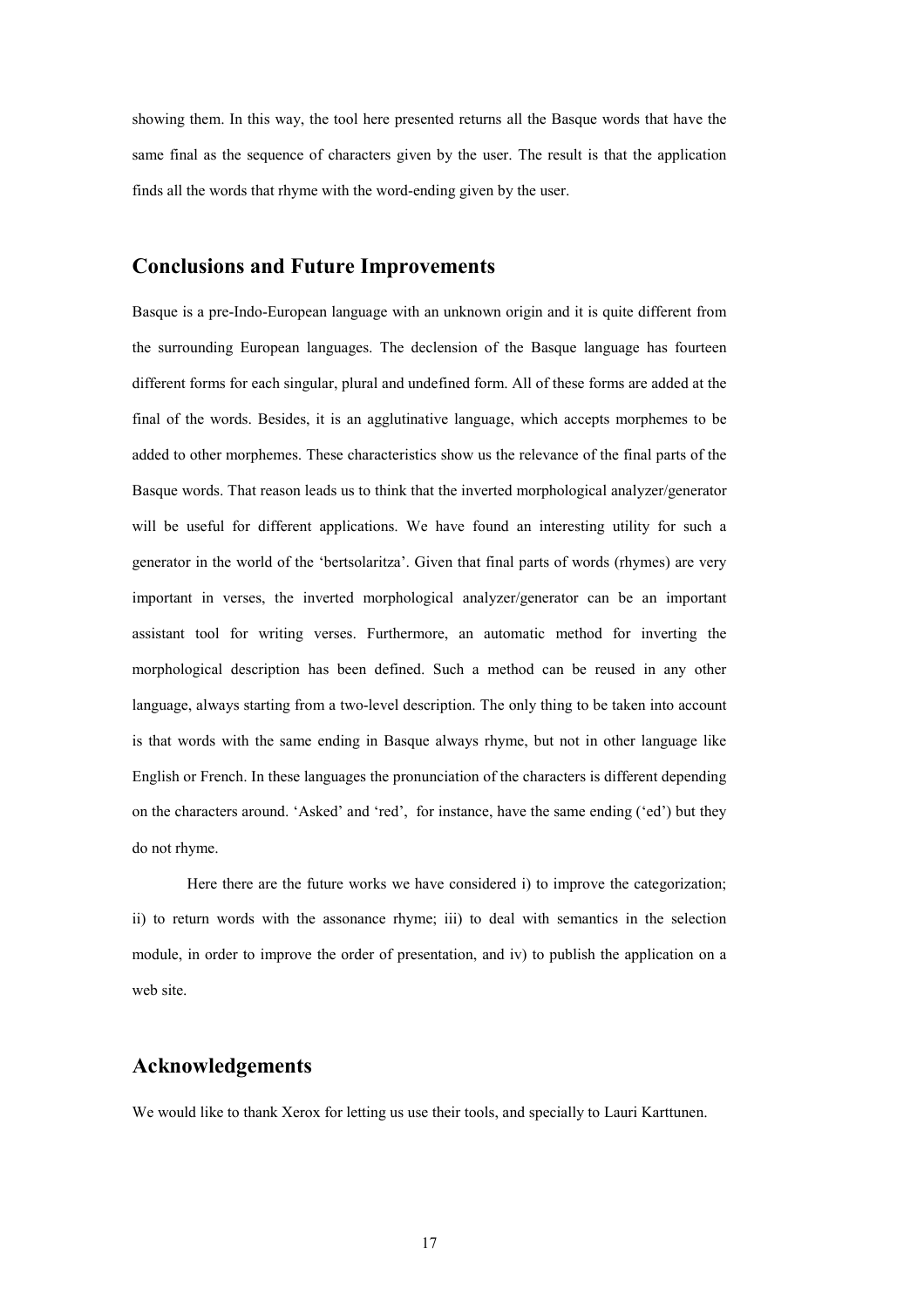showing them. In this way, the tool here presented returns all the Basque words that have the same final as the sequence of characters given by the user. The result is that the application finds all the words that rhyme with the word-ending given by the user.

### **Conclusions and Future Improvements**

Basque is a pre-Indo-European language with an unknown origin and it is quite different from the surrounding European languages. The declension of the Basque language has fourteen different forms for each singular, plural and undefined form. All of these forms are added at the final of the words. Besides, it is an agglutinative language, which accepts morphemes to be added to other morphemes. These characteristics show us the relevance of the final parts of the Basque words. That reason leads us to think that the inverted morphological analyzer/generator will be useful for different applications. We have found an interesting utility for such a generator in the world of the 'bertsolaritza'. Given that final parts of words (rhymes) are very important in verses, the inverted morphological analyzer/generator can be an important assistant tool for writing verses. Furthermore, an automatic method for inverting the morphological description has been defined. Such a method can be reused in any other language, always starting from a two-level description. The only thing to be taken into account is that words with the same ending in Basque always rhyme, but not in other language like English or French. In these languages the pronunciation of the characters is different depending on the characters around. 'Asked' and 'red', for instance, have the same ending ('ed') but they do not rhyme.

Here there are the future works we have considered i) to improve the categorization; ii) to return words with the assonance rhyme; iii) to deal with semantics in the selection module, in order to improve the order of presentation, and iv) to publish the application on a web site.

### **Acknowledgements**

We would like to thank Xerox for letting us use their tools, and specially to Lauri Karttunen.